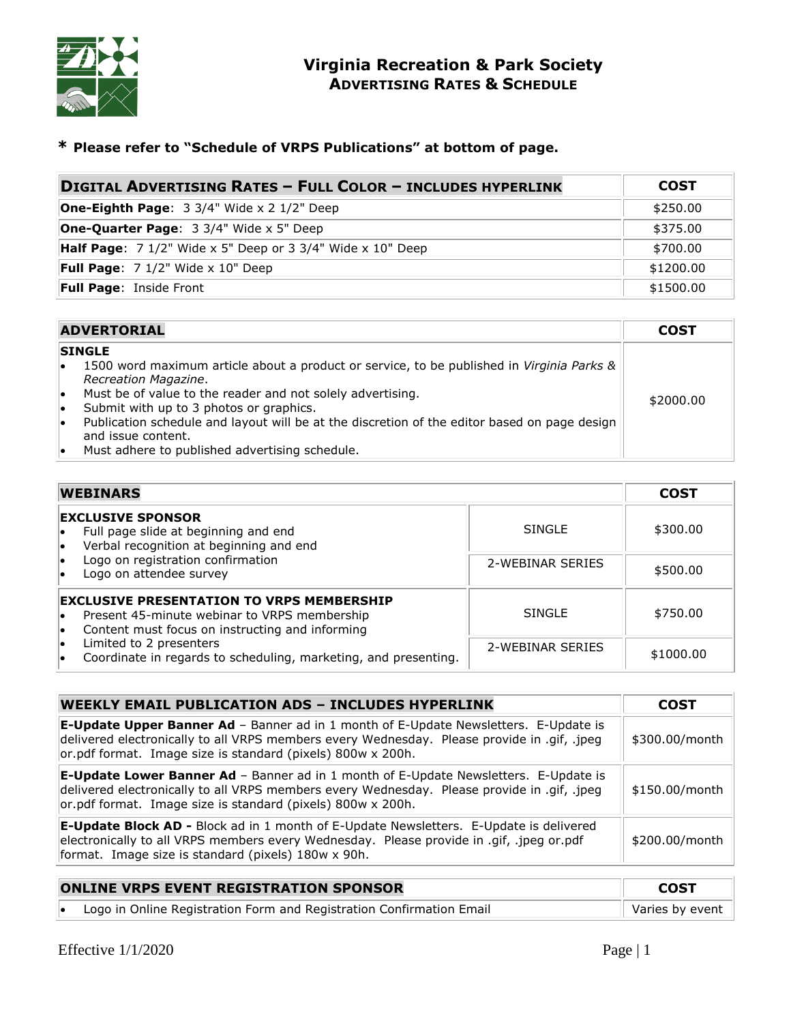

# **\* Please refer to "Schedule of VRPS Publications" at bottom of page.**

| <b>DIGITAL ADVERTISING RATES - FULL COLOR - INCLUDES HYPERLINK</b>         | <b>COST</b> |
|----------------------------------------------------------------------------|-------------|
| <b>One-Eighth Page:</b> $3 \frac{3}{4}$ Wide x 2 $\frac{1}{2}$ Deep        | \$250.00    |
| <b>One-Quarter Page: 3 3/4" Wide x 5" Deep</b>                             | \$375.00    |
| <b>Half Page:</b> $7 \frac{1}{2}$ Wide x 5" Deep or 3 3/4" Wide x 10" Deep | \$700.00    |
| <b>Full Page:</b> $7 \frac{1}{2}$ Wide x 10" Deep                          | \$1200.00   |
| Full Page: Inside Front                                                    | \$1500.00   |

|                      | <b>ADVERTORIAL</b>                                                                                                                                                                                                                                                                                                                          | <b>COST</b> |
|----------------------|---------------------------------------------------------------------------------------------------------------------------------------------------------------------------------------------------------------------------------------------------------------------------------------------------------------------------------------------|-------------|
| ۱o<br>l.<br>lo<br>۱o | <b>SINGLE</b><br>1500 word maximum article about a product or service, to be published in Virginia Parks &<br>Recreation Magazine.<br>Must be of value to the reader and not solely advertising.<br>Submit with up to 3 photos or graphics.<br>Publication schedule and layout will be at the discretion of the editor based on page design | \$2000.00   |
| ۱o                   | and issue content.<br>Must adhere to published advertising schedule.                                                                                                                                                                                                                                                                        |             |

| <b>WEBINARS</b>                                                                                                                                     |                  |           |  |  |  |
|-----------------------------------------------------------------------------------------------------------------------------------------------------|------------------|-----------|--|--|--|
| <b>EXCLUSIVE SPONSOR</b><br>Full page slide at beginning and end<br>Verbal recognition at beginning and end<br>l.                                   | <b>SINGLE</b>    | \$300.00  |  |  |  |
| Logo on registration confirmation<br>Logo on attendee survey                                                                                        | 2-WEBINAR SERIES | \$500.00  |  |  |  |
| <b>EXCLUSIVE PRESENTATION TO VRPS MEMBERSHIP</b><br>Present 45-minute webinar to VRPS membership<br>Content must focus on instructing and informing | <b>SINGLE</b>    | \$750.00  |  |  |  |
| Limited to 2 presenters<br>Coordinate in regards to scheduling, marketing, and presenting.                                                          | 2-WEBINAR SERIES | \$1000.00 |  |  |  |

| <b>WEEKLY EMAIL PUBLICATION ADS - INCLUDES HYPERLINK</b>                                                                                                                                                                                                  | COST           |
|-----------------------------------------------------------------------------------------------------------------------------------------------------------------------------------------------------------------------------------------------------------|----------------|
| <b>E-Update Upper Banner Ad</b> - Banner ad in 1 month of E-Update Newsletters. E-Update is<br>delivered electronically to all VRPS members every Wednesday. Please provide in .gif, .jpeg<br>or.pdf format. Image size is standard (pixels) 800w x 200h. | \$300.00/month |
| <b>E-Update Lower Banner Ad</b> - Banner ad in 1 month of E-Update Newsletters. E-Update is<br>delivered electronically to all VRPS members every Wednesday. Please provide in .gif, .jpeg<br>or.pdf format. Image size is standard (pixels) 800w x 200h. | \$150.00/month |
| <b>E-Update Block AD -</b> Block ad in 1 month of E-Update Newsletters. E-Update is delivered<br>electronically to all VRPS members every Wednesday. Please provide in .gif, .jpeg or.pdf<br>format. Image size is standard (pixels) 180w x 90h.          | \$200.00/month |

| <b>ONLINE VRPS EVENT REGISTRATION SPONSOR</b> | <b>COST</b>                                                          |                 |
|-----------------------------------------------|----------------------------------------------------------------------|-----------------|
|                                               | Logo in Online Registration Form and Registration Confirmation Email | Varies by event |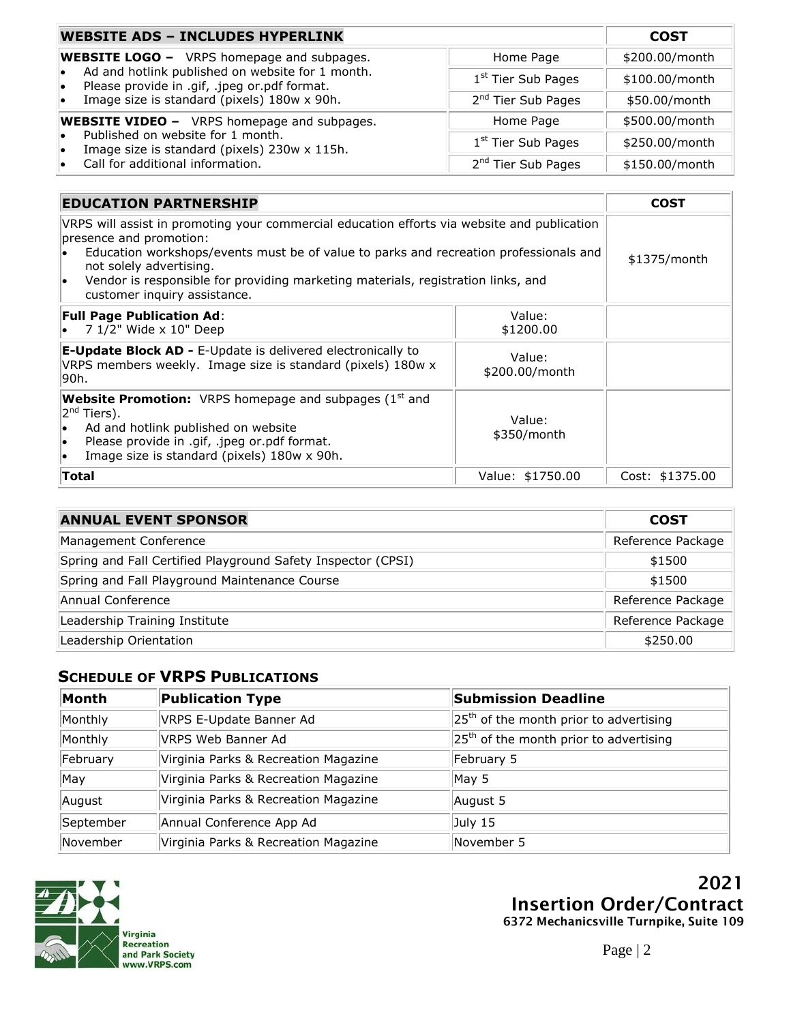| <b>WEBSITE ADS - INCLUDES HYPERLINK</b>                                                                | <b>COST</b>                    |                |
|--------------------------------------------------------------------------------------------------------|--------------------------------|----------------|
| <b>WEBSITE LOGO -</b> VRPS homepage and subpages.                                                      | Home Page                      | \$200.00/month |
| Ad and hotlink published on website for 1 month.<br>Please provide in .gif, .jpeg or.pdf format.<br>l. | 1 <sup>st</sup> Tier Sub Pages | \$100.00/month |
| Image size is standard (pixels) 180w x 90h.                                                            | 2 <sup>nd</sup> Tier Sub Pages | \$50.00/month  |
| <b>WEBSITE VIDEO -</b> VRPS homepage and subpages.                                                     | Home Page                      | \$500.00/month |
| Published on website for 1 month.<br>Image size is standard (pixels) 230w x 115h.                      | 1 <sup>st</sup> Tier Sub Pages | \$250.00/month |
| Call for additional information.                                                                       | 2 <sup>nd</sup> Tier Sub Pages | \$150.00/month |

| <b>EDUCATION PARTNERSHIP</b>                                                                                                                                                                                                                                                                                                                                                | <b>COST</b>      |                 |
|-----------------------------------------------------------------------------------------------------------------------------------------------------------------------------------------------------------------------------------------------------------------------------------------------------------------------------------------------------------------------------|------------------|-----------------|
| VRPS will assist in promoting your commercial education efforts via website and publication<br>presence and promotion:<br>Education workshops/events must be of value to parks and recreation professionals and<br>not solely advertising.<br>Vendor is responsible for providing marketing materials, registration links, and<br>$\bullet$<br>customer inquiry assistance. | $$1375/m$ onth   |                 |
| <b>Full Page Publication Ad:</b><br>7 1/2" Wide x 10" Deep                                                                                                                                                                                                                                                                                                                  |                  |                 |
| E-Update Block AD - E-Update is delivered electronically to<br>VRPS members weekly. Image size is standard (pixels) 180w x<br>l90h.                                                                                                                                                                                                                                         |                  |                 |
| <b>Website Promotion:</b> VRPS homepage and subpages $(1st$ and<br>$ 2^{nd}$ Tiers).<br>Ad and hotlink published on website<br>$\bullet$<br>Please provide in .gif, .jpeg or.pdf format.<br>$\bullet$<br>Image size is standard (pixels) 180w x 90h.<br>$\bullet$                                                                                                           |                  |                 |
| <b>Total</b>                                                                                                                                                                                                                                                                                                                                                                | Value: \$1750.00 | Cost: \$1375.00 |

| <b>ANNUAL EVENT SPONSOR</b>                                  | <b>COST</b>       |
|--------------------------------------------------------------|-------------------|
| Management Conference                                        | Reference Package |
| Spring and Fall Certified Playground Safety Inspector (CPSI) | \$1500            |
| Spring and Fall Playground Maintenance Course                | \$1500            |
| Annual Conference                                            | Reference Package |
| Leadership Training Institute                                | Reference Package |
| Leadership Orientation                                       | \$250.00          |

# **SCHEDULE OF VRPS PUBLICATIONS**

| Month     | <b>Publication Type</b>              | <b>Submission Deadline</b>               |
|-----------|--------------------------------------|------------------------------------------|
| Monthly   | VRPS E-Update Banner Ad              | $25th$ of the month prior to advertising |
| Monthly   | VRPS Web Banner Ad                   | $25th$ of the month prior to advertising |
| February  | Virginia Parks & Recreation Magazine | February 5                               |
| May       | Virginia Parks & Recreation Magazine | May 5                                    |
| August    | Virginia Parks & Recreation Magazine | August 5                                 |
| September | Annual Conference App Ad             | July 15                                  |
| November  | Virginia Parks & Recreation Magazine | November 5                               |



**2021 Insertion Order/Contract 6372 Mechanicsville Turnpike, Suite 109**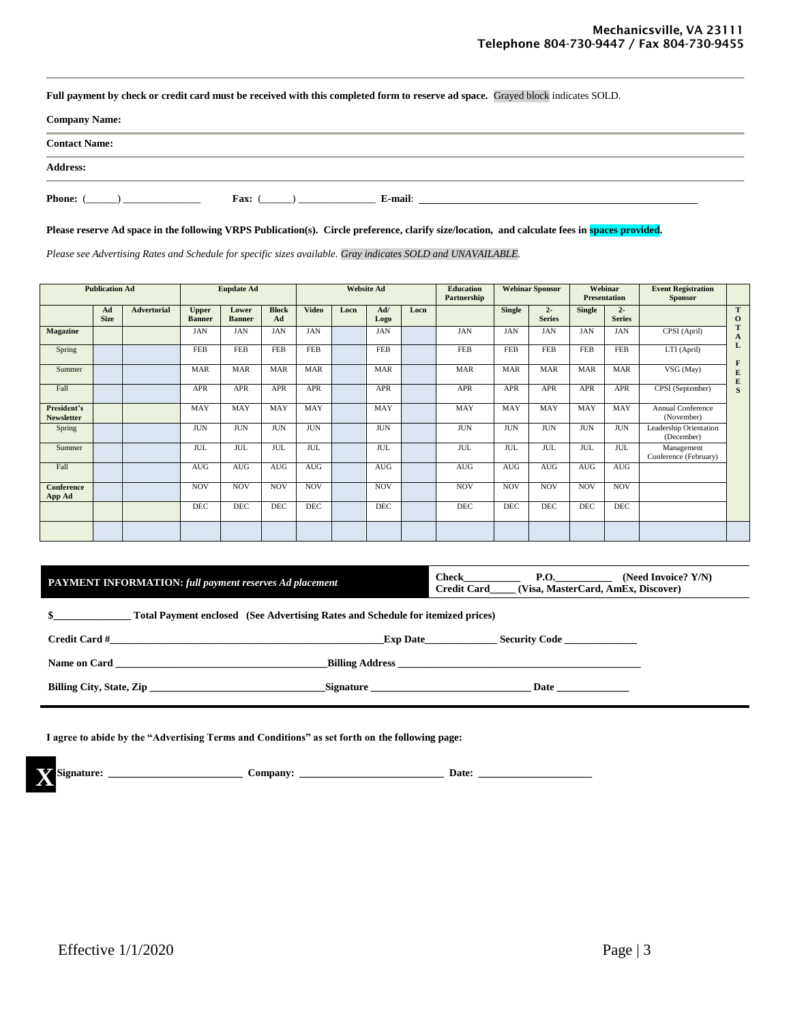**Full payment by check or credit card must be received with this completed form to reserve ad space.** Grayed block indicates SOLD.

| <b>Company Name:</b> |      |         |  |
|----------------------|------|---------|--|
| <b>Contact Name:</b> |      |         |  |
| <b>Address:</b>      |      |         |  |
| <b>Phone:</b>        | Fax: | E-mail: |  |

**Please reserve Ad space in the following VRPS Publication(s). Circle preference, clarify size/location, and calculate fees in spaces provided.**

*Please see Advertising Rates and Schedule for specific sizes available. Gray indicates SOLD and UNAVAILABLE.*

|                                  | <b>Publication Ad</b> |                    | <b>Eupdate Ad</b>             |                        |                    | <b>Website Ad</b> |      |             | <b>Education</b><br>Partnership | <b>Webinar Sponsor</b> |               |                        | Webinar<br><b>Presentation</b> | <b>Event Registration</b><br><b>Sponsor</b> |                                        |                                        |
|----------------------------------|-----------------------|--------------------|-------------------------------|------------------------|--------------------|-------------------|------|-------------|---------------------------------|------------------------|---------------|------------------------|--------------------------------|---------------------------------------------|----------------------------------------|----------------------------------------|
|                                  | Ad<br><b>Size</b>     | <b>Advertorial</b> | <b>Upper</b><br><b>Banner</b> | Lower<br><b>Banner</b> | <b>Block</b><br>Ad | <b>Video</b>      | Locn | Ad/<br>Logo | Locn                            |                        | <b>Single</b> | $2 -$<br><b>Series</b> | Single                         | $2 -$<br><b>Series</b>                      |                                        | T<br>$\bf{0}$                          |
| <b>Magazine</b>                  |                       |                    | JAN                           | <b>JAN</b>             | <b>JAN</b>         | JAN               |      | JAN         |                                 | <b>JAN</b>             | <b>JAN</b>    | <b>JAN</b>             | JAN                            | <b>JAN</b>                                  | CPSI (April)                           | T<br>$\mathbf{A}$                      |
| Spring                           |                       |                    | <b>FEB</b>                    | FEB                    | <b>FEB</b>         | <b>FEB</b>        |      | <b>FEB</b>  |                                 | <b>FEB</b>             | <b>FEB</b>    | <b>FEB</b>             | <b>FEB</b>                     | FEB                                         | LTI (April)                            | L                                      |
| Summer                           |                       |                    | <b>MAR</b>                    | <b>MAR</b>             | <b>MAR</b>         | <b>MAR</b>        |      | <b>MAR</b>  |                                 | <b>MAR</b>             | <b>MAR</b>    | <b>MAR</b>             | <b>MAR</b>                     | <b>MAR</b>                                  | VSG (May)                              | $\mathbf{F}$<br>${\bf E}$<br>${\bf E}$ |
| Fall                             |                       |                    | APR                           | <b>APR</b>             | <b>APR</b>         | <b>APR</b>        |      | <b>APR</b>  |                                 | APR                    | <b>APR</b>    | <b>APR</b>             | <b>APR</b>                     | APR                                         | CPSI (September)                       | S                                      |
| President's<br><b>Newsletter</b> |                       |                    | MAY                           | MAY                    | MAY                | MAY               |      | MAY         |                                 | MAY                    | MAY           | MAY                    | MAY                            | MAY                                         | <b>Annual Conference</b><br>(November) |                                        |
| Spring                           |                       |                    | <b>JUN</b>                    | <b>JUN</b>             | <b>JUN</b>         | <b>JUN</b>        |      | <b>JUN</b>  |                                 | <b>JUN</b>             | <b>JUN</b>    | <b>JUN</b>             | <b>JUN</b>                     | <b>JUN</b>                                  | Leadership Orientation<br>(December)   |                                        |
| Summer                           |                       |                    | <b>JUL</b>                    | <b>JUL</b>             | <b>JUL</b>         | <b>JUL</b>        |      | <b>JUL</b>  |                                 | <b>JUL</b>             | <b>JUL</b>    | <b>JUL</b>             | <b>JUL</b>                     | <b>JUL</b>                                  | Management<br>Conference (February)    |                                        |
| Fall                             |                       |                    | AUG                           | AUG                    | AUG                | AUG               |      | AUG         |                                 | AUG                    | AUG           | AUG                    | AUG                            | AUG                                         |                                        |                                        |
| Conference<br>App Ad             |                       |                    | <b>NOV</b>                    | <b>NOV</b>             | <b>NOV</b>         | <b>NOV</b>        |      | <b>NOV</b>  |                                 | <b>NOV</b>             | <b>NOV</b>    | <b>NOV</b>             | <b>NOV</b>                     | <b>NOV</b>                                  |                                        |                                        |
|                                  |                       |                    | <b>DEC</b>                    | <b>DEC</b>             | <b>DEC</b>         | <b>DEC</b>        |      | DEC         |                                 | DEC                    | DEC           | DEC                    | DEC                            | <b>DEC</b>                                  |                                        |                                        |
|                                  |                       |                    |                               |                        |                    |                   |      |             |                                 |                        |               |                        |                                |                                             |                                        |                                        |

| <b>PAYMENT INFORMATION:</b> full payment reserves Ad placement | Check              | . . v | Y/N<br>(Need Invoice?)             |
|----------------------------------------------------------------|--------------------|-------|------------------------------------|
|                                                                | <b>Credit Card</b> |       | (Visa, MasterCard, AmEx, Discover) |

**\$\_\_\_\_\_\_\_\_\_\_\_\_\_\_\_ Total Payment enclosed (See Advertising Rates and Schedule for itemized prices)** 

**Name on Card \_\_\_\_\_\_\_\_\_\_\_\_\_\_\_\_\_\_\_\_\_\_\_\_\_\_\_\_\_\_\_\_\_\_\_\_\_\_\_\_\_Billing Address \_\_\_\_\_\_\_\_\_\_\_\_\_\_\_\_\_\_\_\_\_\_\_\_\_\_\_\_\_\_\_\_\_\_\_\_\_\_\_\_\_\_\_\_\_\_\_**

| <b>Credit Card #</b> | Date<br>Exd | <b>Security Code</b> |
|----------------------|-------------|----------------------|
|                      |             |                      |

**Billing City, State, Zip \_\_\_\_\_\_\_\_\_\_\_\_\_\_\_\_\_\_\_\_\_\_\_\_\_\_\_\_\_\_\_\_\_\_Signature \_\_\_\_\_\_\_\_\_\_\_\_\_\_\_\_\_\_\_\_\_\_\_\_\_\_\_\_\_\_\_ Date \_\_\_\_\_\_\_\_\_\_\_\_\_\_**

**I agree to abide by the "Advertising Terms and Conditions" as set forth on the following page:**

**X Signature: \_\_\_\_\_\_\_\_\_\_\_\_\_\_\_\_\_\_\_\_\_\_\_\_\_\_ Company: \_\_\_\_\_\_\_\_\_\_\_\_\_\_\_\_\_\_\_\_\_\_\_\_\_\_\_\_ Date: \_\_\_\_\_\_\_\_\_\_\_\_\_\_\_\_\_\_\_\_\_\_**